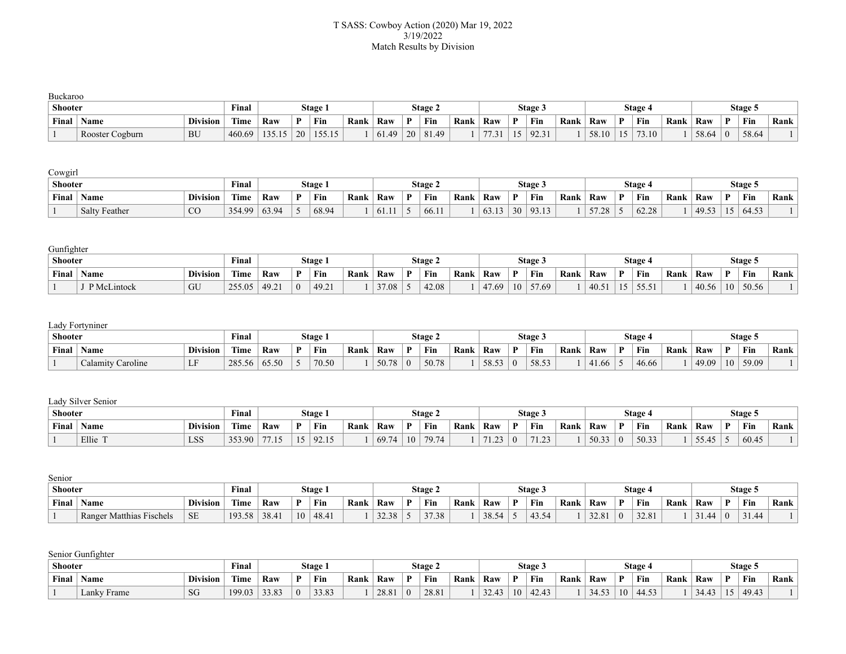## T SASS: Cowboy Action (2020) Mar 19, 2022 3/19/2022 Match Results by Division

| Buckaroo       |                 |                 |        |        |    |         |      |       |    |         |      |               |              |         |      |       |                 |         |      |       |          |         |      |
|----------------|-----------------|-----------------|--------|--------|----|---------|------|-------|----|---------|------|---------------|--------------|---------|------|-------|-----------------|---------|------|-------|----------|---------|------|
| <b>Shooter</b> |                 |                 | Final  |        |    | Stage 1 |      |       |    | Stage 2 |      |               |              | Stage 3 |      |       |                 | Stage 4 |      |       |          | Stage 5 |      |
| <b>Final</b>   | <b>Name</b>     | <b>Division</b> | Time   | Raw    | D  | Fin     | Rank | Raw   | D  | Fin     | Rank | Raw           | $\mathbf{D}$ | Fin     | Rank | Raw   | $\mathbf{D}$    | Fin     | Rank | Raw   | D        | Fin     | Rank |
|                | Rooster Cogburn | <b>BU</b>       | 460.69 | 135.15 | 20 | 155.15  |      | 61.49 | 20 | 81.49   |      | 77.21<br>1.31 |              | 1922    |      | 58.10 | 15 <sup>°</sup> | 73.10   |      | 58.64 | $\Omega$ | 58.64   |      |

Cowgirl

| <b>Shooter</b> |                      |                 | <b>Final</b>  |                               |   | Stage |                   |      |              | Stage 2 |      |                                 |    | Stage 3     |      |                 |   | Stage . |      |              |              | Stage 5 |      |
|----------------|----------------------|-----------------|---------------|-------------------------------|---|-------|-------------------|------|--------------|---------|------|---------------------------------|----|-------------|------|-----------------|---|---------|------|--------------|--------------|---------|------|
| Final          | ' Name               | <b>Division</b> | rana.<br>Uime | Raw                           | D | Fin   | <sup>'</sup> Rank | Raw  | $\mathbf{D}$ | Fin     | Rank | Raw                             |    | Fin         | Rank | Raw             | D | Fin     | Rank | Raw          | $\mathbf{D}$ | Fin     | Rank |
|                | <b>Salty Feather</b> | $_{\rm CO}$     | 354.99        | $\hat{ }$ 3.94<br>v <i>.,</i> |   | 68.94 |                   | 01.1 |              | 66.11   |      | $\overline{\phantom{a}}$<br>$U$ | 30 | Q31<br>,,., |      | 57.28<br>ں ہے . |   | 62.28   |      | $49.5^\circ$ | $\sim$       | 64.5?   |      |

Gunfighter

| <b>Shooter</b> |             |                 | Final          |                            |   | Stage 1                      |      |       |   | Stage 2 |      |                   |    | Stage: |      |      |              | Stage 4            |      |       |   | Stage 5 |      |
|----------------|-------------|-----------------|----------------|----------------------------|---|------------------------------|------|-------|---|---------|------|-------------------|----|--------|------|------|--------------|--------------------|------|-------|---|---------|------|
| Final          | <b>Name</b> | <b>Division</b> | rane.<br>l'ime | Raw                        | D | Fin                          | Rank | Raw   | D | Fin     | Rank | Raw               |    | Fin    | Rank | Raw  | $\mathbf{D}$ | Fin                | Rank | Raw   | - | Fin     | Rank |
|                | P McLintock | GU              | 25505          | $49^{\circ}$<br>. <i>.</i> | ◠ | $10.2^{\circ}$<br>г <i>.</i> |      | 37.08 |   | 42.08   |      | 47.69<br><u>д</u> | 10 | 57.69  |      | 40.5 |              | $- - - -$<br>55.51 |      | 40.56 |   | 50.56   |      |

## Lady Fortyniner

| <b>Shooter</b> |                                               |                                 | <b>Final</b>     |       |   | <b>Stage</b> |      |       |              | <b>Stage 2</b> |      |                       |          | Stage 3                |      |              |              | Stage 4 |      |       |              | Stage: |      |
|----------------|-----------------------------------------------|---------------------------------|------------------|-------|---|--------------|------|-------|--------------|----------------|------|-----------------------|----------|------------------------|------|--------------|--------------|---------|------|-------|--------------|--------|------|
| Final          | <b>Name</b>                                   | <b>Division</b>                 | man e a<br>L'ime | Raw   | D | Fin          | Rank | Raw   | $\mathbf{D}$ | Fin            | Rank | Raw                   | D        | Fin                    | Rank | Raw          | $\mathbf{D}$ | Fin     | Rank | Raw   | $\mathbf{D}$ | Fin    | Rank |
|                | $\sim$<br>/ Caroline<br>$\mathcal{L}$ alamity | $\mathbf{r}$ $\mathbf{r}$<br>L. | 285.<br>.56      | 65.50 |   | 70.50        |      | 50.78 |              | 50.78          |      | 58.53<br><u> しぃンご</u> | $\left($ | $\sim$ $\sim$<br>58.53 |      | 4.4<br>+1.66 |              | 46.66   |      | 19.09 | 10           | 59.09  |      |

Lady Silver Senior

| <b>Shooter</b> |             |                 | Final                      |               |          | Stage            |      |       |              | <b>Stage 2</b>    |      |         |          | Stage 3 |      |                       |   | Stage 4 |      |                |    | Stage 5 |      |
|----------------|-------------|-----------------|----------------------------|---------------|----------|------------------|------|-------|--------------|-------------------|------|---------|----------|---------|------|-----------------------|---|---------|------|----------------|----|---------|------|
| Final          | <b>Name</b> | <b>Division</b> | <b>CONTRACTOR</b><br>l'ime | Raw           | D        | Fin              | Rank | Raw   | $\mathbf{D}$ | Fin               | Rank | Raw     | D        | Fin     | Rank | Raw                   | D | Fin     | Rank | Raw            | D. | Fin     | Rank |
|                | Ellie 1     | <b>LSS</b>      | 353.90                     | 7715<br>ن 1 . | 15<br>ıυ | (02.15)<br>92.IJ |      | 69.74 | 10           | 70.7 <sub>A</sub> |      | ر _ _ _ | $\left($ | $-1.02$ |      | 50.33<br><u>JU.JJ</u> |   | 50.33   |      | 55A5<br>$\sim$ |    | 60.45   |      |

| Senior    |                          |                 |        |       |    |         |      |       |   |         |      |       |   |         |      |       |          |         |      |       |                |         |      |
|-----------|--------------------------|-----------------|--------|-------|----|---------|------|-------|---|---------|------|-------|---|---------|------|-------|----------|---------|------|-------|----------------|---------|------|
| Shooter   |                          |                 | Final  |       |    | Stage 1 |      |       |   | Stage 2 |      |       |   | Stage 3 |      |       |          | ، Stage |      |       |                | Stage 5 |      |
| Final $ $ | <b>Name</b>              | <b>Division</b> | Time   | Raw   | D  | Fin     | Rank | Raw   | D | Fin     | Rank | Raw   | D | Fin     | Rank | Raw   | D        | Fin     | Rank | Raw   | D              | Fin     | Rank |
|           | Ranger Matthias Fischels | <b>SE</b>       | 193.58 | 38.41 | 10 | 48.41   |      | 32.38 |   | 37.38   |      | 38.54 |   | 43.54   |      | 32.81 | $\Omega$ | 32.81   |      | 31.44 | $\overline{0}$ | 31.44   |      |

Senior Gunfighter

| <b>Shooter</b> |             |                 | $\mathbf{r}$<br>Final |       |          | <b>Stage</b> : |      |       |              | Stage 2       |      |                     |     | Stage 3 |      |       |    | Stage 4 |      |             |    | Stage 5 |      |
|----------------|-------------|-----------------|-----------------------|-------|----------|----------------|------|-------|--------------|---------------|------|---------------------|-----|---------|------|-------|----|---------|------|-------------|----|---------|------|
| Final          | <b>Name</b> | <b>Division</b> | Time                  | Raw   | D.       | Fin            | Rank | Raw   | $\mathbf{D}$ | Fin           | Rank | Raw                 | n   | Fin     | Rank | Raw   | D. | Fin     | Rank | Raw         | n. | Fin     | Rank |
|                | Lanky Frame | <b>SG</b>       | 199.03                | 33.83 | $\theta$ | 33.83          |      | 28.81 |              | 2001<br>28.81 |      | 22.42<br><i>. .</i> | -10 | 42.43   |      | 34.53 | 10 | 44.53   |      | 24.42<br>т. |    | 49.43   |      |